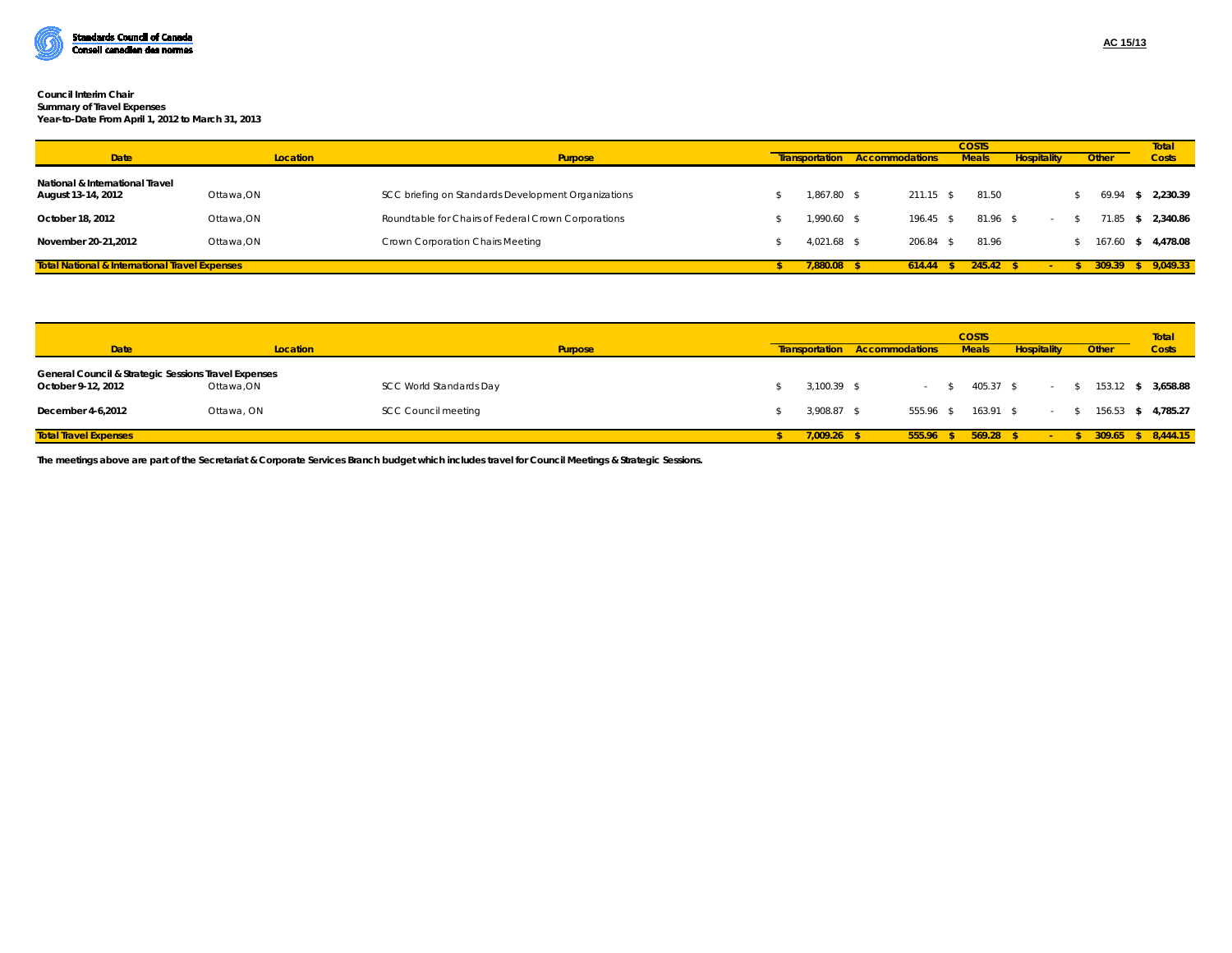

## **Council Interim Chair Summary of Travel Expenses**

**Year-to-Date From April 1, 2012 to March 31, 2013**

| <b>Date</b>                                               | Location   | <b>Purpose</b>                                      |             | <b>COSTS</b><br><b>Transportation Accommodations</b><br><b>Meals</b> |        |                    | <b>Other</b> |      | Total<br><b>Costs</b> |
|-----------------------------------------------------------|------------|-----------------------------------------------------|-------------|----------------------------------------------------------------------|--------|--------------------|--------------|------|-----------------------|
|                                                           |            |                                                     |             |                                                                      |        | <b>Hospitality</b> |              |      |                       |
| National & International Travel<br>August 13-14, 2012     | Ottawa, ON | SCC briefing on Standards Development Organizations | 1.867.80 \$ | $211.15$ \$                                                          | 81.50  |                    | 69.94        | - 35 | 2.230.39              |
| October 18, 2012                                          | Ottawa, ON | Roundtable for Chairs of Federal Crown Corporations | 1,990.60 \$ | $196.45$ \$                                                          |        | $81.96$ \$         | 71.85        |      | \$2,340.86            |
| November 20-21.2012                                       | Ottawa.ON  | Crown Corporation Chairs Meeting                    | 4.021.68    | 206.84                                                               | 81.96  |                    | 167.60       |      | \$4.478.08            |
| <b>Total National &amp; International Travel Expenses</b> |            |                                                     | 7.880.08    | 614.44                                                               | 245.42 |                    | 309.39       |      | \$9.049.33            |

|                                                                            |            |                            | <b>COSTS</b> |               |                                  |  |              |                    | Total  |              |                    |  |  |
|----------------------------------------------------------------------------|------------|----------------------------|--------------|---------------|----------------------------------|--|--------------|--------------------|--------|--------------|--------------------|--|--|
| <b>Date</b>                                                                | Location   | <b>Purpose</b>             |              |               | Accommodations<br>Transportation |  | <b>Meals</b> | <b>Hospitality</b> | Other  | <b>Costs</b> |                    |  |  |
| General Council & Strategic Sessions Travel Expenses<br>October 9-12, 2012 | Ottawa, ON | SCC World Standards Day    |              | $3.100.39$ \$ |                                  |  | 405.37 \$    |                    |        |              | 153.12 \$ 3,658.88 |  |  |
| December 4-6,2012                                                          | Ottawa, ON | <b>SCC Council meeting</b> |              | 3,908.87 \$   | 555.96 \$                        |  | $163.91$ \$  |                    |        |              | 156.53 \$ 4,785.27 |  |  |
| <b>Total Travel Expenses</b>                                               |            |                            |              | $7.009.26$ \$ | $555.96$ \$                      |  | 569.28       |                    | 309.65 |              | \$8,444.15         |  |  |

**The meetings above are part of the Secretariat & Corporate Services Branch budget which includes travel for Council Meetings & Strategic Sessions.**